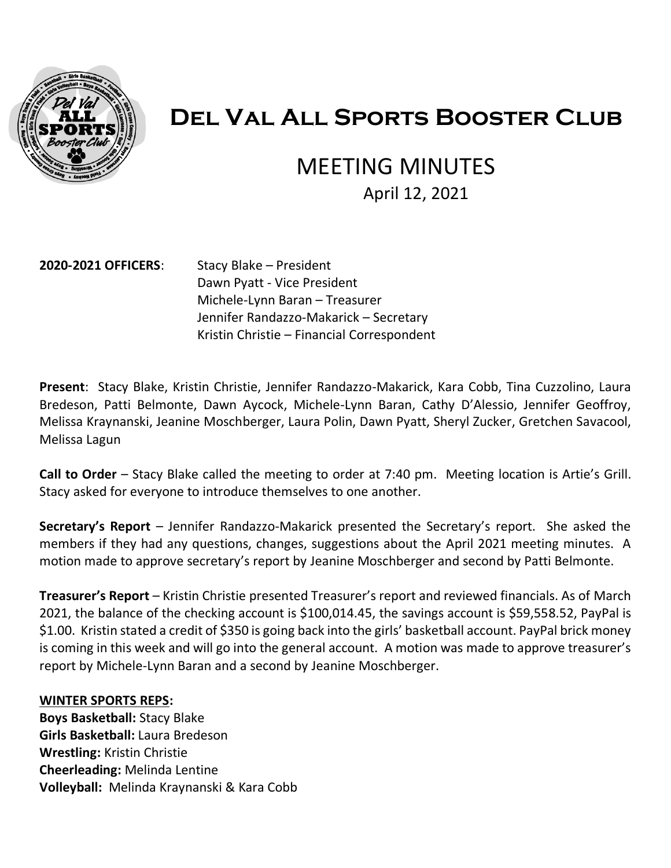

# **Del Val All Sports Booster Club**

# MEETING MINUTES

April 12, 2021

#### **2020-2021 OFFICERS**: Stacy Blake – President

Dawn Pyatt - Vice President Michele-Lynn Baran – Treasurer Jennifer Randazzo-Makarick – Secretary Kristin Christie – Financial Correspondent

**Present**: Stacy Blake, Kristin Christie, Jennifer Randazzo-Makarick, Kara Cobb, Tina Cuzzolino, Laura Bredeson, Patti Belmonte, Dawn Aycock, Michele-Lynn Baran, Cathy D'Alessio, Jennifer Geoffroy, Melissa Kraynanski, Jeanine Moschberger, Laura Polin, Dawn Pyatt, Sheryl Zucker, Gretchen Savacool, Melissa Lagun

**Call to Order** – Stacy Blake called the meeting to order at 7:40 pm. Meeting location is Artie's Grill. Stacy asked for everyone to introduce themselves to one another.

**Secretary's Report** – Jennifer Randazzo-Makarick presented the Secretary's report. She asked the members if they had any questions, changes, suggestions about the April 2021 meeting minutes. A motion made to approve secretary's report by Jeanine Moschberger and second by Patti Belmonte.

**Treasurer's Report** – Kristin Christie presented Treasurer's report and reviewed financials. As of March 2021, the balance of the checking account is \$100,014.45, the savings account is \$59,558.52, PayPal is \$1.00. Kristin stated a credit of \$350 is going back into the girls' basketball account. PayPal brick money is coming in this week and will go into the general account. A motion was made to approve treasurer's report by Michele-Lynn Baran and a second by Jeanine Moschberger.

#### **WINTER SPORTS REPS:**

**Boys Basketball:** Stacy Blake **Girls Basketball:** Laura Bredeson **Wrestling:** Kristin Christie **Cheerleading:** Melinda Lentine **Volleyball:** Melinda Kraynanski & Kara Cobb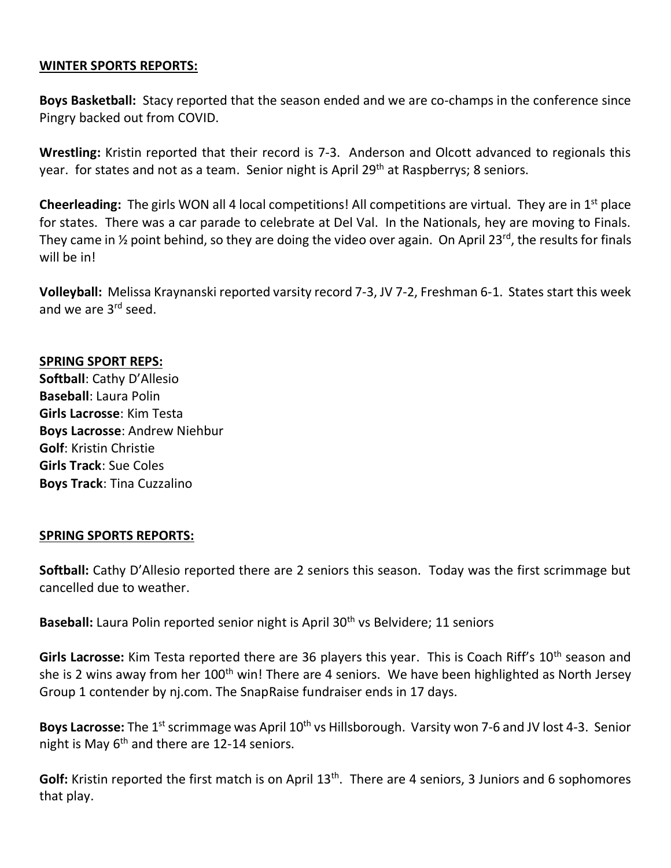#### **WINTER SPORTS REPORTS:**

**Boys Basketball:** Stacy reported that the season ended and we are co-champs in the conference since Pingry backed out from COVID.

**Wrestling:** Kristin reported that their record is 7-3. Anderson and Olcott advanced to regionals this year. for states and not as a team. Senior night is April 29<sup>th</sup> at Raspberrys; 8 seniors.

**Cheerleading:** The girls WON all 4 local competitions! All competitions are virtual. They are in 1<sup>st</sup> place for states. There was a car parade to celebrate at Del Val. In the Nationals, hey are moving to Finals. They came in  $\frac{1}{2}$  point behind, so they are doing the video over again. On April 23<sup>rd</sup>, the results for finals will be in!

**Volleyball:** Melissa Kraynanski reported varsity record 7-3, JV 7-2, Freshman 6-1. States start this week and we are 3<sup>rd</sup> seed.

#### **SPRING SPORT REPS:**

**Softball**: Cathy D'Allesio **Baseball**: Laura Polin **Girls Lacrosse**: Kim Testa **Boys Lacrosse**: Andrew Niehbur **Golf**: Kristin Christie **Girls Track**: Sue Coles **Boys Track**: Tina Cuzzalino

#### **SPRING SPORTS REPORTS:**

**Softball:** Cathy D'Allesio reported there are 2 seniors this season. Today was the first scrimmage but cancelled due to weather.

Baseball: Laura Polin reported senior night is April 30<sup>th</sup> vs Belvidere; 11 seniors

Girls Lacrosse: Kim Testa reported there are 36 players this year. This is Coach Riff's 10<sup>th</sup> season and she is 2 wins away from her 100<sup>th</sup> win! There are 4 seniors. We have been highlighted as North Jersey Group 1 contender by nj.com. The SnapRaise fundraiser ends in 17 days.

Boys Lacrosse: The 1<sup>st</sup> scrimmage was April 10<sup>th</sup> vs Hillsborough. Varsity won 7-6 and JV lost 4-3. Senior night is May  $6<sup>th</sup>$  and there are 12-14 seniors.

Golf: Kristin reported the first match is on April 13<sup>th</sup>. There are 4 seniors, 3 Juniors and 6 sophomores that play.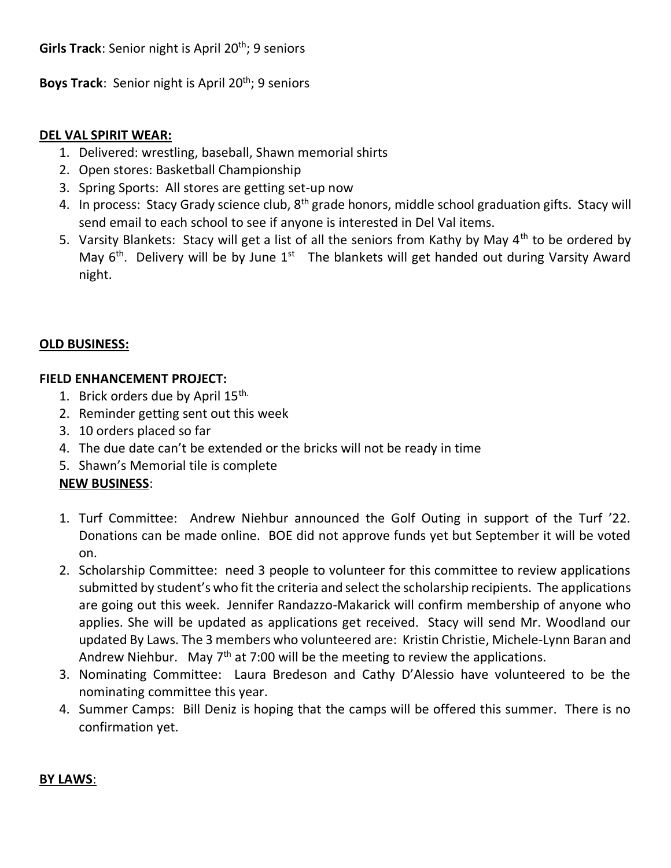**Boys Track:** Senior night is April 20<sup>th</sup>; 9 seniors

## **DEL VAL SPIRIT WEAR:**

- 1. Delivered: wrestling, baseball, Shawn memorial shirts
- 2. Open stores: Basketball Championship
- 3. Spring Sports: All stores are getting set-up now
- 4. In process: Stacy Grady science club,  $8<sup>th</sup>$  grade honors, middle school graduation gifts. Stacy will send email to each school to see if anyone is interested in Del Val items.
- 5. Varsity Blankets: Stacy will get a list of all the seniors from Kathy by May 4<sup>th</sup> to be ordered by May  $6<sup>th</sup>$ . Delivery will be by June  $1<sup>st</sup>$  The blankets will get handed out during Varsity Award night.

## **OLD BUSINESS:**

## **FIELD ENHANCEMENT PROJECT:**

- 1. Brick orders due by April 15th.
- 2. Reminder getting sent out this week
- 3. 10 orders placed so far
- 4. The due date can't be extended or the bricks will not be ready in time
- 5. Shawn's Memorial tile is complete

# **NEW BUSINESS**:

- 1. Turf Committee: Andrew Niehbur announced the Golf Outing in support of the Turf '22. Donations can be made online. BOE did not approve funds yet but September it will be voted on.
- 2. Scholarship Committee: need 3 people to volunteer for this committee to review applications submitted by student's who fit the criteria and select the scholarship recipients. The applications are going out this week. Jennifer Randazzo-Makarick will confirm membership of anyone who applies. She will be updated as applications get received. Stacy will send Mr. Woodland our updated By Laws. The 3 members who volunteered are: Kristin Christie, Michele-Lynn Baran and Andrew Niehbur. May  $7<sup>th</sup>$  at 7:00 will be the meeting to review the applications.
- 3. Nominating Committee: Laura Bredeson and Cathy D'Alessio have volunteered to be the nominating committee this year.
- 4. Summer Camps: Bill Deniz is hoping that the camps will be offered this summer. There is no confirmation yet.

### **BY LAWS**: